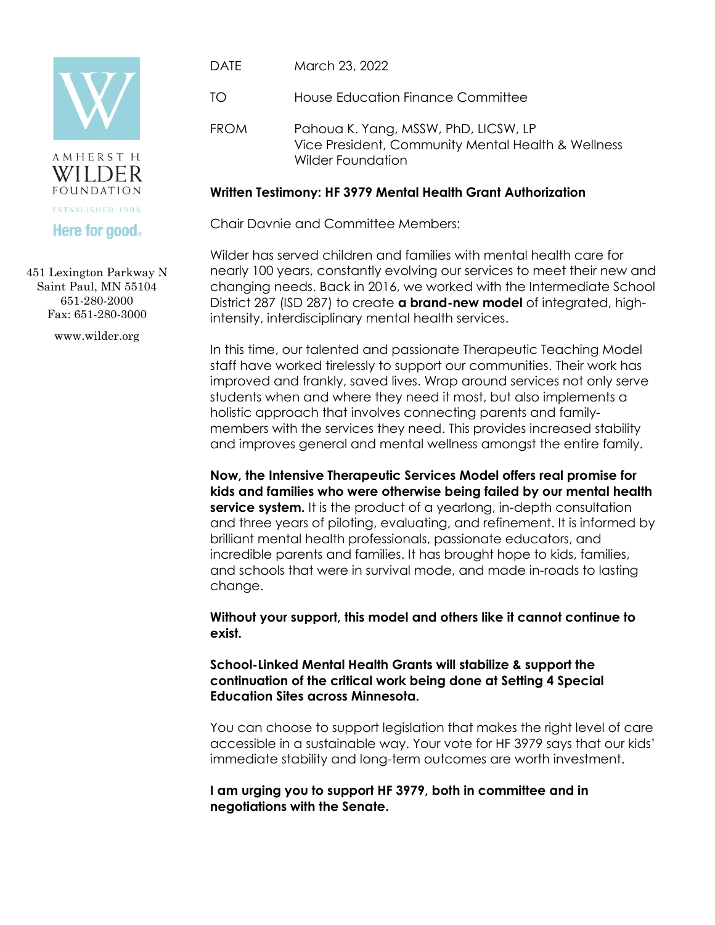



## **Here for good**

451 Lexington Parkway N Saint Paul, MN 55104 651-280-2000 Fax: 651-280-3000

www.wilder.org

- DATE March 23, 2022
- TO House Education Finance Committee
- FROM Pahoua K. Yang, MSSW, PhD, LICSW, LP Vice President, Community Mental Health & Wellness Wilder Foundation

## **Written Testimony: HF 3979 Mental Health Grant Authorization**

Chair Davnie and Committee Members:

Wilder has served children and families with mental health care for nearly 100 years, constantly evolving our services to meet their new and changing needs. Back in 2016, we worked with the Intermediate School District 287 (ISD 287) to create **a brand-new model** of integrated, highintensity, interdisciplinary mental health services.

In this time, our talented and passionate Therapeutic Teaching Model staff have worked tirelessly to support our communities. Their work has improved and frankly, saved lives. Wrap around services not only serve students when and where they need it most, but also implements a holistic approach that involves connecting parents and familymembers with the services they need. This provides increased stability and improves general and mental wellness amongst the entire family.

**Now, the Intensive Therapeutic Services Model offers real promise for kids and families who were otherwise being failed by our mental health service system.** It is the product of a yearlong, in-depth consultation and three years of piloting, evaluating, and refinement. It is informed by brilliant mental health professionals, passionate educators, and incredible parents and families. It has brought hope to kids, families, and schools that were in survival mode, and made in-roads to lasting change.

**Without your support, this model and others like it cannot continue to exist.** 

**School-Linked Mental Health Grants will stabilize & support the continuation of the critical work being done at Setting 4 Special Education Sites across Minnesota.** 

You can choose to support legislation that makes the right level of care accessible in a sustainable way. Your vote for HF 3979 says that our kids' immediate stability and long-term outcomes are worth investment.

**I am urging you to support HF 3979, both in committee and in negotiations with the Senate.**